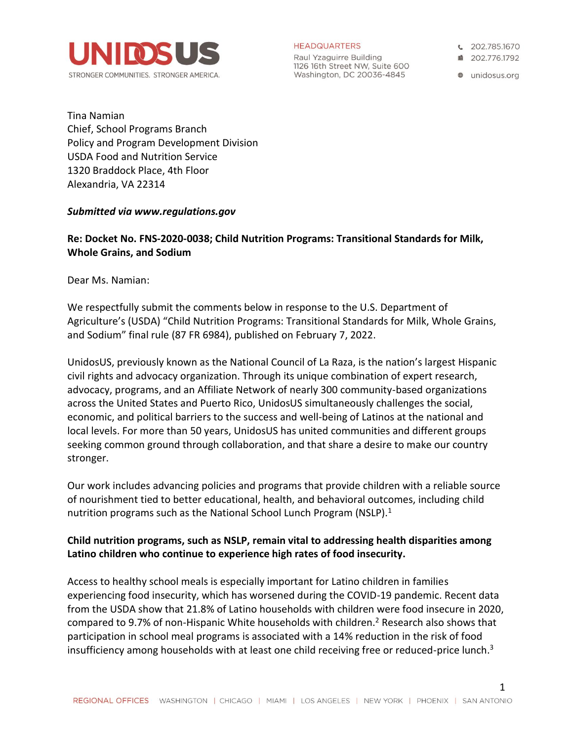

**HEADQUARTERS** 

Raul Yzaguirre Building 1126 16th Street NW, Suite 600 Washington, DC 20036-4845

€ 202.785.1670

■ 202 776 1792

**a** unidosus.org

1

Tina Namian Chief, School Programs Branch Policy and Program Development Division USDA Food and Nutrition Service 1320 Braddock Place, 4th Floor Alexandria, VA 22314

### *Submitted via www.regulations.gov*

# **Re: Docket No. FNS-2020-0038; Child Nutrition Programs: Transitional Standards for Milk, Whole Grains, and Sodium**

Dear Ms. Namian:

We respectfully submit the comments below in response to the U.S. Department of Agriculture's (USDA) "Child Nutrition Programs: Transitional Standards for Milk, Whole Grains, and Sodium" final rule (87 FR 6984), published on February 7, 2022.

UnidosUS, previously known as the National Council of La Raza, is the nation's largest Hispanic civil rights and advocacy organization. Through its unique combination of expert research, advocacy, programs, and an Affiliate Network of nearly 300 community-based organizations across the United States and Puerto Rico, UnidosUS simultaneously challenges the social, economic, and political barriers to the success and well-being of Latinos at the national and local levels. For more than 50 years, UnidosUS has united communities and different groups seeking common ground through collaboration, and that share a desire to make our country stronger.

Our work includes advancing policies and programs that provide children with a reliable source of nourishment tied to better educational, health, and behavioral outcomes, including child nutrition programs such as the National School Lunch Program (NSLP). $<sup>1</sup>$ </sup>

# **Child nutrition programs, such as NSLP, remain vital to addressing health disparities among Latino children who continue to experience high rates of food insecurity.**

Access to healthy school meals is especially important for Latino children in families experiencing food insecurity, which has worsened during the COVID-19 pandemic. Recent data from the USDA show that 21.8% of Latino households with children were food insecure in 2020, compared to 9.7% of non-Hispanic White households with children.<sup>2</sup> Research also shows that participation in school meal programs is associated with a 14% reduction in the risk of food insufficiency among households with at least one child receiving free or reduced-price lunch.<sup>3</sup>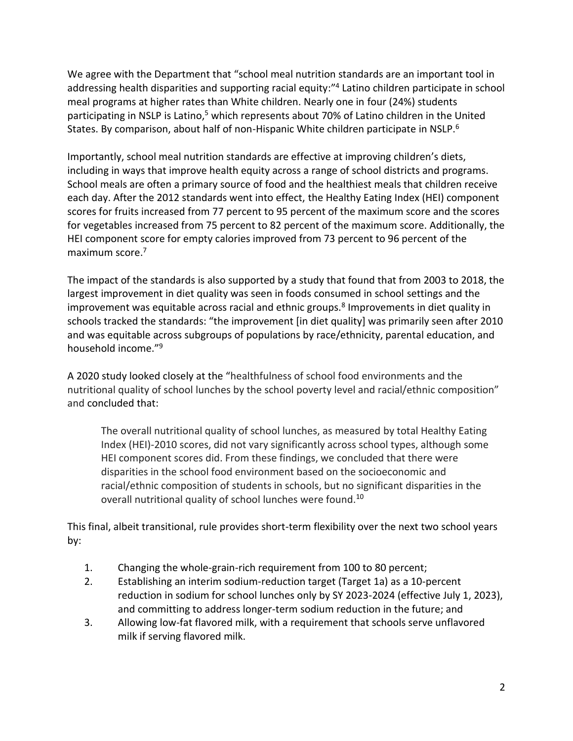We agree with the Department that "school meal nutrition standards are an important tool in addressing health disparities and supporting racial equity:" 4 Latino children participate in school meal programs at higher rates than White children. Nearly one in four (24%) students participating in NSLP is Latino,<sup>5</sup> which represents about 70% of Latino children in the United States. By comparison, about half of non-Hispanic White children participate in NSLP.<sup>6</sup>

Importantly, school meal nutrition standards are effective at improving children's diets, including in ways that improve health equity across a range of school districts and programs. School meals are often a primary source of food and the healthiest meals that children receive each day. After the 2012 standards went into effect, the Healthy Eating Index (HEI) component scores for fruits increased from 77 percent to 95 percent of the maximum score and the scores for vegetables increased from 75 percent to 82 percent of the maximum score. Additionally, the HEI component score for empty calories improved from 73 percent to 96 percent of the maximum score.<sup>7</sup>

The impact of the standards is also supported by a study that found that from 2003 to 2018, the largest improvement in diet quality was seen in foods consumed in school settings and the improvement was equitable across racial and ethnic groups.<sup>8</sup> Improvements in diet quality in schools tracked the standards: "the improvement [in diet quality] was primarily seen after 2010 and was equitable across subgroups of populations by race/ethnicity, parental education, and household income."<sup>9</sup>

A 2020 study looked closely at the "healthfulness of school food environments and the nutritional quality of school lunches by the school poverty level and racial/ethnic composition" and concluded that:

The overall nutritional quality of school lunches, as measured by total Healthy Eating Index (HEI)-2010 scores, did not vary significantly across school types, although some HEI component scores did. From these findings, we concluded that there were disparities in the school food environment based on the socioeconomic and racial/ethnic composition of students in schools, but no significant disparities in the overall nutritional quality of school lunches were found.<sup>10</sup>

This final, albeit transitional, rule provides short-term flexibility over the next two school years by:

- 1. Changing the whole-grain-rich requirement from 100 to 80 percent;
- 2. Establishing an interim sodium-reduction target (Target 1a) as a 10-percent reduction in sodium for school lunches only by SY 2023-2024 (effective July 1, 2023), and committing to address longer-term sodium reduction in the future; and
- 3. Allowing low-fat flavored milk, with a requirement that schools serve unflavored milk if serving flavored milk.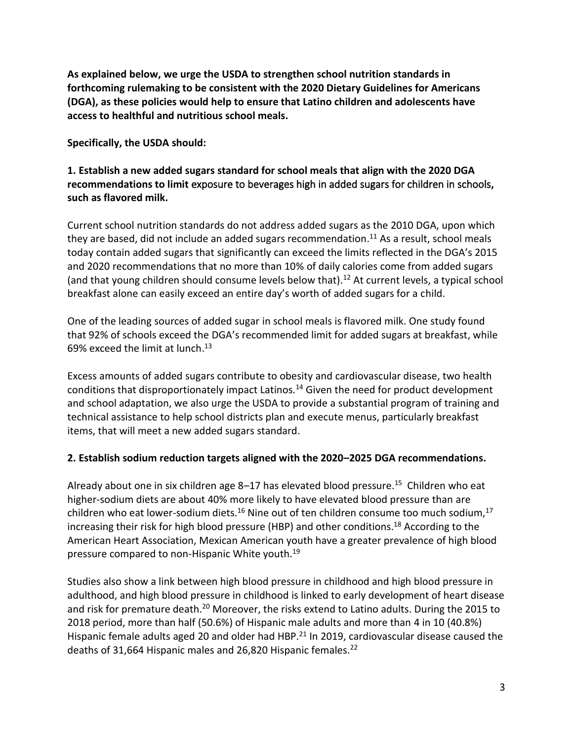**As explained below, we urge the USDA to strengthen school nutrition standards in forthcoming rulemaking to be consistent with the 2020 Dietary Guidelines for Americans (DGA), as these policies would help to ensure that Latino children and adolescents have access to healthful and nutritious school meals.** 

**Specifically, the USDA should:**

# **1. Establish a new added sugars standard for school meals that align with the 2020 DGA recommendations to limit** exposure to beverages high in added sugars for children in schools**, such as flavored milk.**

Current school nutrition standards do not address added sugars as the 2010 DGA, upon which they are based, did not include an added sugars recommendation.<sup>11</sup> As a result, school meals today contain added sugars that significantly can exceed the limits reflected in the DGA's 2015 and 2020 recommendations that no more than 10% of daily calories come from added sugars (and that young children should consume levels below that). <sup>12</sup> At current levels, a typical school breakfast alone can easily exceed an entire day's worth of added sugars for a child.

One of the leading sources of added sugar in school meals is flavored milk. One study found that 92% of schools exceed the DGA's recommended limit for added sugars at breakfast, while 69% exceed the limit at lunch. 13

Excess amounts of added sugars contribute to obesity and cardiovascular disease, two health conditions that disproportionately impact Latinos.<sup>14</sup> Given the need for product development and school adaptation, we also urge the USDA to provide a substantial program of training and technical assistance to help school districts plan and execute menus, particularly breakfast items, that will meet a new added sugars standard.

# **2. Establish sodium reduction targets aligned with the 2020–2025 DGA recommendations.**

Already about one in six children age 8–17 has elevated blood pressure.<sup>15</sup> Children who eat higher-sodium diets are about 40% more likely to have elevated blood pressure than are children who eat lower-sodium diets.<sup>16</sup> Nine out of ten children consume too much sodium,<sup>17</sup> increasing their risk for high blood pressure (HBP) and other conditions. <sup>18</sup> According to the American Heart Association, Mexican American youth have a greater prevalence of high blood pressure compared to non-Hispanic White youth.<sup>19</sup>

Studies also show a link between high blood pressure in childhood and high blood pressure in adulthood, and high blood pressure in childhood is linked to early development of heart disease and risk for premature death.<sup>20</sup> Moreover, the risks extend to Latino adults. During the 2015 to 2018 period, more than half (50.6%) of Hispanic male adults and more than 4 in 10 (40.8%) Hispanic female adults aged 20 and older had HBP.<sup>21</sup> In 2019, cardiovascular disease caused the deaths of 31,664 Hispanic males and 26,820 Hispanic females.<sup>22</sup>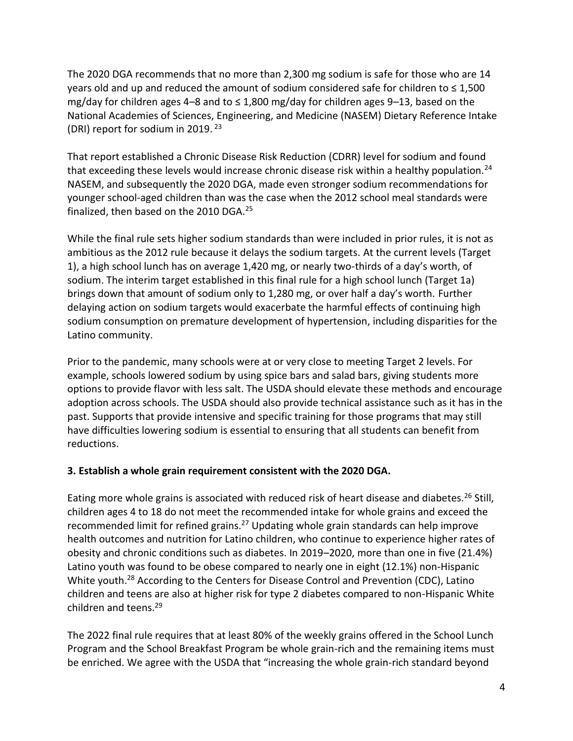The 2020 DGA recommends that no more than 2,300 mg sodium is safe for those who are 14 years old and up and reduced the amount of sodium considered safe for children to  $\leq 1,500$ mg/day for children ages 4–8 and to  $\leq 1,800$  mg/day for children ages 9–13, based on the National Academies of Sciences, Engineering, and Medicine (NASEM) Dietary Reference Intake (DRI) report for sodium in 2019. <sup>23</sup>

That report established a Chronic Disease Risk Reduction (CDRR) level for sodium and found that exceeding these levels would increase chronic disease risk within a healthy population.<sup>24</sup> NASEM, and subsequently the 2020 DGA, made even stronger sodium recommendations for younger school-aged children than was the case when the 2012 school meal standards were finalized, then based on the 2010 DGA.<sup>25</sup>

While the final rule sets higher sodium standards than were included in prior rules, it is not as ambitious as the 2012 rule because it delays the sodium targets. At the current levels (Target 1), a high school lunch has on average 1,420 mg, or nearly two-thirds of a day's worth, of sodium. The interim target established in this final rule for a high school lunch (Target 1a) brings down that amount of sodium only to 1,280 mg, or over half a day's worth. Further delaying action on sodium targets would exacerbate the harmful effects of continuing high sodium consumption on premature development of hypertension, including disparities for the Latino community.

Prior to the pandemic, many schools were at or very close to meeting Target 2 levels. For example, schools lowered sodium by using spice bars and salad bars, giving students more options to provide flavor with less salt. The USDA should elevate these methods and encourage adoption across schools. The USDA should also provide technical assistance such as it has in the past. Supports that provide intensive and specific training for those programs that may still have difficulties lowering sodium is essential to ensuring that all students can benefit from reductions.

# **3. Establish a whole grain requirement consistent with the 2020 DGA.**

Eating more whole grains is associated with reduced risk of heart disease and diabetes.<sup>26</sup> Still, children ages 4 to 18 do not meet the recommended intake for whole grains and exceed the recommended limit for refined grains.<sup>27</sup> Updating whole grain standards can help improve health outcomes and nutrition for Latino children, who continue to experience higher rates of obesity and chronic conditions such as diabetes. In 2019–2020, more than one in five (21.4%) Latino youth was found to be obese compared to nearly one in eight (12.1%) non-Hispanic White youth.<sup>28</sup> According to the Centers for Disease Control and Prevention (CDC), Latino children and teens are also at higher risk for type 2 diabetes compared to non-Hispanic White children and teens.<sup>29</sup>

The 2022 final rule requires that at least 80% of the weekly grains offered in the School Lunch Program and the School Breakfast Program be whole grain-rich and the remaining items must be enriched. We agree with the USDA that "increasing the whole grain-rich standard beyond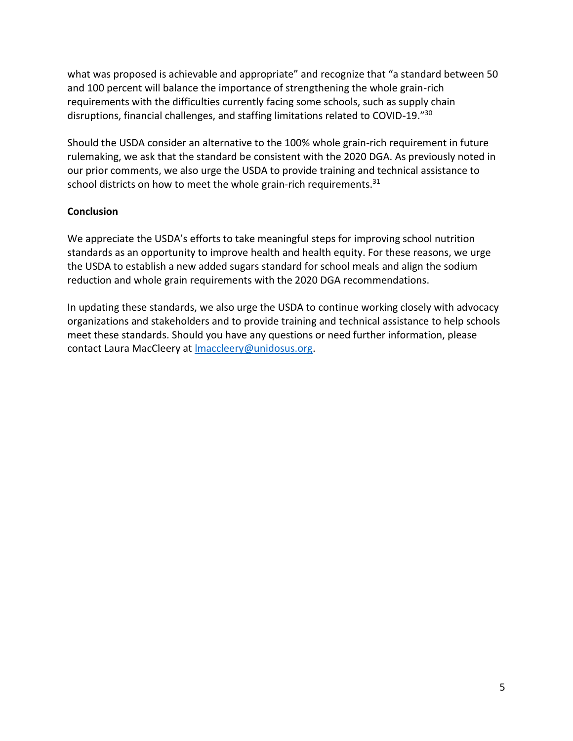what was proposed is achievable and appropriate" and recognize that "a standard between 50 and 100 percent will balance the importance of strengthening the whole grain-rich requirements with the difficulties currently facing some schools, such as supply chain disruptions, financial challenges, and staffing limitations related to COVID-19."<sup>30</sup>

Should the USDA consider an alternative to the 100% whole grain-rich requirement in future rulemaking, we ask that the standard be consistent with the 2020 DGA. As previously noted in our prior comments, we also urge the USDA to provide training and technical assistance to school districts on how to meet the whole grain-rich requirements.<sup>31</sup>

# **Conclusion**

We appreciate the USDA's efforts to take meaningful steps for improving school nutrition standards as an opportunity to improve health and health equity. For these reasons, we urge the USDA to establish a new added sugars standard for school meals and align the sodium reduction and whole grain requirements with the 2020 DGA recommendations.

In updating these standards, we also urge the USDA to continue working closely with advocacy organizations and stakeholders and to provide training and technical assistance to help schools meet these standards. Should you have any questions or need further information, please contact Laura MacCleery at [lmaccleery@unidosus.org.](mailto:lmaccleery@unidosus.org)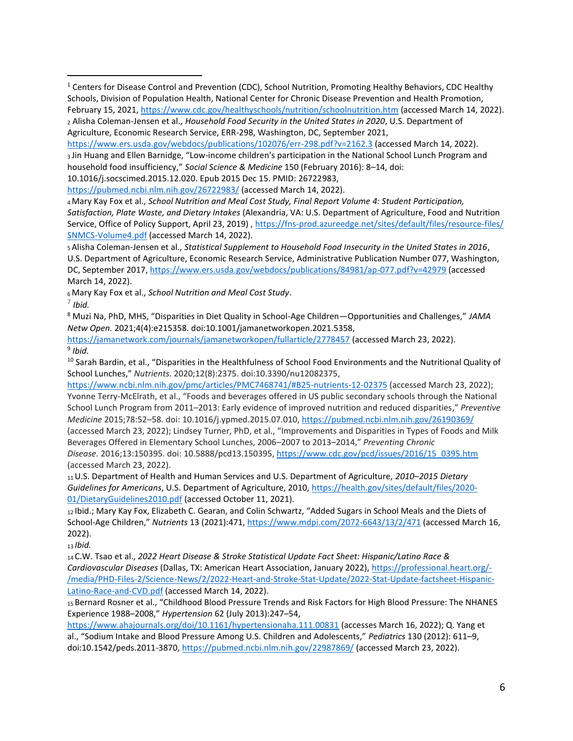<https://www.ers.usda.gov/webdocs/publications/102076/err-298.pdf?v=2162.3> (accessed March 14, 2022). <sup>3</sup> Jin Huang and Ellen Barnidge, "Low-income children's participation in the National School Lunch Program and household food insufficiency," *Social Science & Medicine* 150 (February 2016): 8–14, doi:

10.1016/j.socscimed.2015.12.020. Epub 2015 Dec 15. PMID: 26722983,

<https://pubmed.ncbi.nlm.nih.gov/26722983/> (accessed March 14, 2022).

<sup>4</sup>Mary Kay Fox et al., *School Nutrition and Meal Cost Study, Final Report Volume 4: Student Participation, Satisfaction, Plate Waste, and Dietary Intakes* (Alexandria, VA: U.S. Department of Agriculture, Food and Nutrition Service, Office of Policy Support, April 23, 2019) , [https://fns-prod.azureedge.net/sites/default/files/resource-files/](https://fns-prod.azureedge.net/sites/default/files/resource-files/SNMCS-Volume4.pdf) [SNMCS-Volume4.pdf](https://fns-prod.azureedge.net/sites/default/files/resource-files/SNMCS-Volume4.pdf) (accessed March 14, 2022).

<sup>5</sup>Alisha Coleman-Jensen et al., *Statistical Supplement to Household Food Insecurity in the United States in 2016*, U.S. Department of Agriculture, Economic Research Service, Administrative Publication Number 077, Washington, DC, September 2017,<https://www.ers.usda.gov/webdocs/publications/84981/ap-077.pdf?v=42979> (accessed March 14, 2022).

<sup>6</sup>Mary Kay Fox et al., *School Nutrition and Meal Cost Study*.

7 *Ibid.*

<sup>8</sup> Muzi Na, PhD, MHS, "Disparities in Diet Quality in School-Age Children—Opportunities and Challenges," *JAMA Netw Open.* 2021;4(4):e215358. doi:10.1001/jamanetworkopen.2021.5358,

<https://jamanetwork.com/journals/jamanetworkopen/fullarticle/2778457> (accessed March 23, 2022). 9 *Ibid.*

<sup>10</sup> Sarah Bardin, et al., "Disparities in the Healthfulness of School Food Environments and the Nutritional Quality of School Lunches," *Nutrients*. 2020;12(8):2375. doi:10.3390/nu12082375,

<https://www.ncbi.nlm.nih.gov/pmc/articles/PMC7468741/#B25-nutrients-12-02375> (accessed March 23, 2022); Yvonne Terry-McElrath, et al., "Foods and beverages offered in US public secondary schools through the National School Lunch Program from 2011–2013: Early evidence of improved nutrition and reduced disparities," *Preventive Medicine* 2015;78:52–58. doi: 10.1016/j.ypmed.2015.07.010[, https://pubmed.ncbi.nlm.nih.gov/26190369/](https://pubmed.ncbi.nlm.nih.gov/26190369/)

(accessed March 23, 2022); Lindsey Turner, PhD, et al., "Improvements and Disparities in Types of Foods and Milk Beverages Offered in Elementary School Lunches, 2006–2007 to 2013–2014," *Preventing Chronic Disease.* 2016;13:150395. doi: 10.5888/pcd13.150395, [https://www.cdc.gov/pcd/issues/2016/15\\_0395.htm](https://www.cdc.gov/pcd/issues/2016/15_0395.htm) (accessed March 23, 2022).

<sup>11</sup>U.S. Department of Health and Human Services and U.S. Department of Agriculture, *2010–2015 Dietary Guidelines for Americans*, U.S. Department of Agriculture, 2010, [https://health.gov/sites/default/files/2020-](https://health.gov/sites/default/files/2020-01/DietaryGuidelines2010.pdf) [01/DietaryGuidelines2010.pdf](https://health.gov/sites/default/files/2020-01/DietaryGuidelines2010.pdf) (accessed October 11, 2021).

<sup>12</sup> Ibid.; Mary Kay Fox, Elizabeth C. Gearan, and Colin Schwartz, "Added Sugars in School Meals and the Diets of School-Age Children," *Nutrients* 13 (2021):471,<https://www.mdpi.com/2072-6643/13/2/471> (accessed March 16, 2022).

<sup>13</sup> *Ibid.*

<sup>14</sup> C.W. Tsao et al., *2022 Heart Disease & Stroke Statistical Update Fact Sheet: Hispanic/Latino Race & Cardiovascular Diseases* (Dallas, TX: American Heart Association, January 2022), [https://professional.heart.org/-](https://professional.heart.org/-/media/PHD-Files-2/Science-News/2/2022-Heart-and-Stroke-Stat-Update/2022-Stat-Update-factsheet-Hispanic-Latino-Race-and-CVD.pdf) [/media/PHD-Files-2/Science-News/2/2022-Heart-and-Stroke-Stat-Update/2022-Stat-Update-factsheet-Hispanic-](https://professional.heart.org/-/media/PHD-Files-2/Science-News/2/2022-Heart-and-Stroke-Stat-Update/2022-Stat-Update-factsheet-Hispanic-Latino-Race-and-CVD.pdf)[Latino-Race-and-CVD.pdf](https://professional.heart.org/-/media/PHD-Files-2/Science-News/2/2022-Heart-and-Stroke-Stat-Update/2022-Stat-Update-factsheet-Hispanic-Latino-Race-and-CVD.pdf) (accessed March 14, 2022).

<sup>15</sup> Bernard Rosner et al., "Childhood Blood Pressure Trends and Risk Factors for High Blood Pressure: The NHANES Experience 1988–2008," *Hypertension* 62 (July 2013):247–54,

<https://www.ahajournals.org/doi/10.1161/hypertensionaha.111.00831> (accesses March 16, 2022); Q. Yang et al., "Sodium Intake and Blood Pressure Among U.S. Children and Adolescents," *Pediatrics* 130 (2012): 611–9, doi:10.1542/peds.2011-3870[, https://pubmed.ncbi.nlm.nih.gov/22987869/](https://pubmed.ncbi.nlm.nih.gov/22987869/) (accessed March 23, 2022).

<sup>&</sup>lt;sup>1</sup> Centers for Disease Control and Prevention (CDC), School Nutrition, Promoting Healthy Behaviors, CDC Healthy Schools, Division of Population Health, National Center for Chronic Disease Prevention and Health Promotion, February 15, 2021[, https://www.cdc.gov/healthyschools/nutrition/schoolnutrition.htm](https://www.cdc.gov/healthyschools/nutrition/schoolnutrition.htm) (accessed March 14, 2022). <sup>2</sup> Alisha Coleman-Jensen et al., *Household Food Security in the United States in 2020*, U.S. Department of Agriculture, Economic Research Service, ERR-298, Washington, DC, September 2021,